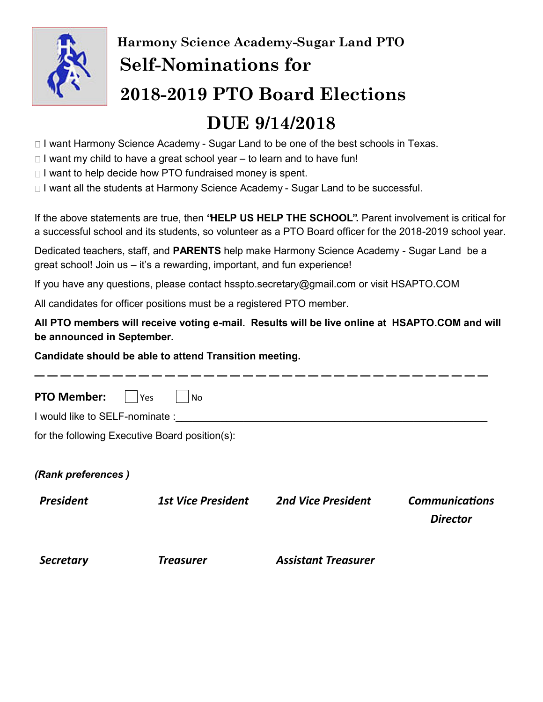

# **Harmony Science Academy-Sugar Land PTO Self-Nominations for 2018-2019 PTO Board Elections DUE 9/14/2018**

#### □ I want Harmony Science Academy - Sugar Land to be one of the best schools in Texas.

- $\Box$  I want my child to have a great school year to learn and to have fun!
- $\Box$  I want to help decide how PTO fundraised money is spent.
- □ I want all the students at Harmony Science Academy Sugar Land to be successful.

If the above statements are true, then **"HELP US HELP THE SCHOOL".** Parent involvement is critical for a successful school and its students, so volunteer as a PTO Board officer for the 2018-2019 school year.

Dedicated teachers, staff, and **PARENTS** help make Harmony Science Academy - Sugar Land be a great school! Join us – it's a rewarding, important, and fun experience!

If you have any questions, please contact hsspto.secretary@gmail.com or visit HSAPTO.COM

All candidates for officer positions must be a registered PTO member.

*Secretary Treasurer Assistant Treasurer* 

**All PTO members will receive voting e-mail. Results will be live online at HSAPTO.COM and will be announced in September.** 

#### **Candidate should be able to attend Transition meeting.**

| <b>PTO Member:</b>             | Yes<br>No.                                     |                           |                       |
|--------------------------------|------------------------------------------------|---------------------------|-----------------------|
| I would like to SELF-nominate: |                                                |                           |                       |
|                                | for the following Executive Board position(s): |                           |                       |
|                                |                                                |                           |                       |
| (Rank preferences)             |                                                |                           |                       |
| <b>President</b>               | <b>1st Vice President</b>                      | <b>2nd Vice President</b> | <b>Communications</b> |
|                                |                                                |                           | <b>Director</b>       |
|                                |                                                |                           |                       |